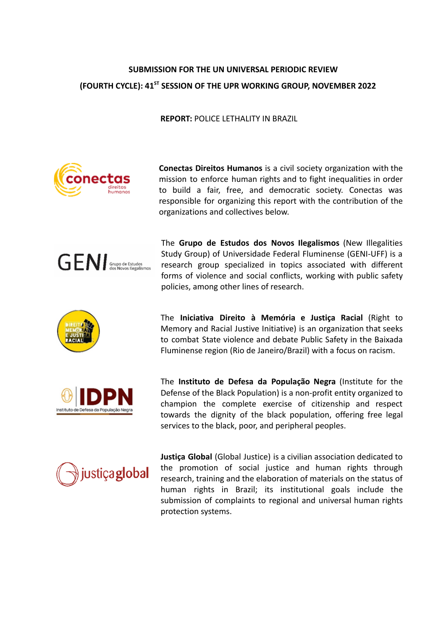# **SUBMISSION FOR THE UN UNIVERSAL PERIODIC REVIEW (FOURTH CYCLE): 41ST SESSION OF THE UPR WORKING GROUP, NOVEMBER 2022**

## **REPORT:** POLICE LETHALITY IN BRAZIL



 $GENI$  Grupo de Estudos







**Conectas Direitos Humanos** is a civil society organization with the mission to enforce human rights and to fight inequalities in order to build a fair, free, and democratic society. Conectas was responsible for organizing this report with the contribution of the organizations and collectives below.

The **Grupo de Estudos dos Novos Ilegalismos** (New Illegalities Study Group) of Universidade Federal Fluminense (GENI-UFF) is a research group specialized in topics associated with different forms of violence and social conflicts, working with public safety policies, among other lines of research.

The **Iniciativa Direito à Memória e Justiça Racial** (Right to Memory and Racial Justive Initiative) is an organization that seeks to combat State violence and debate Public Safety in the Baixada Fluminense region (Rio de Janeiro/Brazil) with a focus on racism.

The **Instituto de Defesa da População Negra** (Institute for the Defense of the Black Population) is a non-profit entity organized to champion the complete exercise of citizenship and respect towards the dignity of the black population, offering free legal services to the black, poor, and peripheral peoples.

**Justiça Global** (Global Justice) is a civilian association dedicated to the promotion of social justice and human rights through research, training and the elaboration of materials on the status of human rights in Brazil; its institutional goals include the submission of complaints to regional and universal human rights protection systems.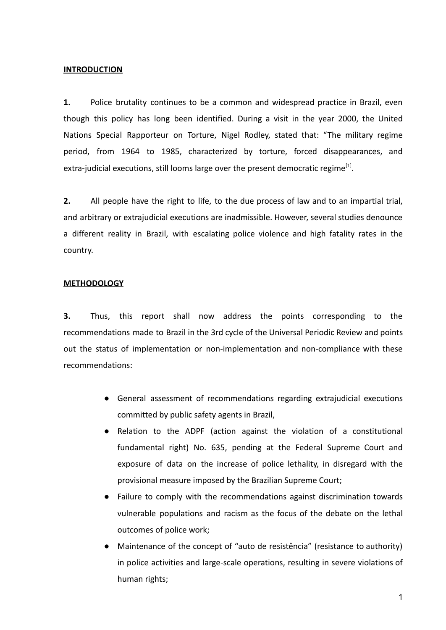#### **INTRODUCTION**

**1.** Police brutality continues to be a common and widespread practice in Brazil, even though this policy has long been identified. During a visit in the year 2000, the United Nations Special Rapporteur on Torture, Nigel Rodley, stated that: "The military regime period, from 1964 to 1985, characterized by torture, forced disappearances, and extra-judicial executions, still looms large over the present democratic regime<sup>[1]</sup>.

**2.** All people have the right to life, to the due process of law and to an impartial trial, and arbitrary or extrajudicial executions are inadmissible. However, several studies denounce a different reality in Brazil, with escalating police violence and high fatality rates in the country.

#### **METHODOLOGY**

**3.** Thus, this report shall now address the points corresponding to the recommendations made to Brazil in the 3rd cycle of the Universal Periodic Review and points out the status of implementation or non-implementation and non-compliance with these recommendations:

- General assessment of recommendations regarding extrajudicial executions committed by public safety agents in Brazil,
- Relation to the ADPF (action against the violation of a constitutional fundamental right) No. 635, pending at the Federal Supreme Court and exposure of data on the increase of police lethality, in disregard with the provisional measure imposed by the Brazilian Supreme Court;
- Failure to comply with the recommendations against discrimination towards vulnerable populations and racism as the focus of the debate on the lethal outcomes of police work;
- Maintenance of the concept of "auto de resistência" (resistance to authority) in police activities and large-scale operations, resulting in severe violations of human rights;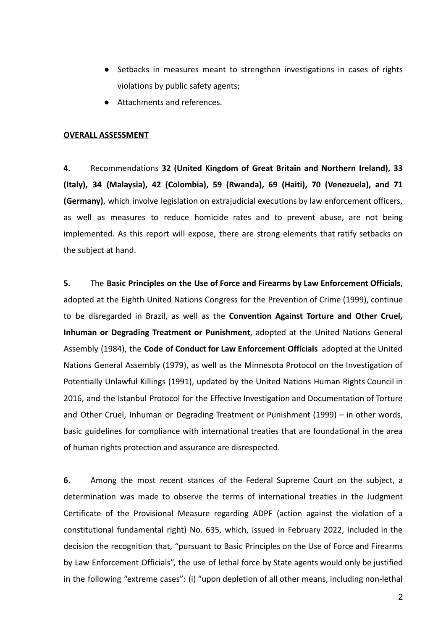- Setbacks in measures meant to strengthen investigations in cases of rights violations by public safety agents;
- Attachments and references.

## **OVERALL ASSESSMENT**

**4.** Recommendations **32 (United Kingdom of Great Britain and Northern Ireland), 33 (Italy), 34 (Malaysia), 42 (Colombia), 59 (Rwanda), 69 (Haiti), 70 (Venezuela), and 71 (Germany)**, which involve legislation on extrajudicial executions by law enforcement officers, as well as measures to reduce homicide rates and to prevent abuse, are not being implemented. As this report will expose, there are strong elements that ratify setbacks on the subject at hand.

**5.** The **Basic Principles on the Use of Force and Firearms by Law Enforcement Officials**, adopted at the Eighth United Nations Congress for the Prevention of Crime (1999), continue to be disregarded in Brazil, as well as the **Convention Against Torture and Other Cruel, Inhuman or Degrading Treatment or Punishment**, adopted at the United Nations General Assembly (1984), the **Code of Conduct for Law Enforcement Officials** adopted at the United Nations General Assembly (1979), as well as the Minnesota Protocol on the Investigation of Potentially Unlawful Killings (1991), updated by the United Nations Human Rights Council in 2016, and the Istanbul Protocol for the Effective Investigation and Documentation of Torture and Other Cruel, Inhuman or Degrading Treatment or Punishment (1999) – in other words, basic guidelines for compliance with international treaties that are foundational in the area of human rights protection and assurance are disrespected.

**6.** Among the most recent stances of the Federal Supreme Court on the subject, a determination was made to observe the terms of international treaties in the Judgment Certificate of the Provisional Measure regarding ADPF (action against the violation of a constitutional fundamental right) No. 635, which, issued in February 2022, included in the decision the recognition that, "pursuant to Basic Principles on the Use of Force and Firearms by Law Enforcement Officials", the use of lethal force by State agents would only be justified in the following "extreme cases": (i) "upon depletion of all other means, including non-lethal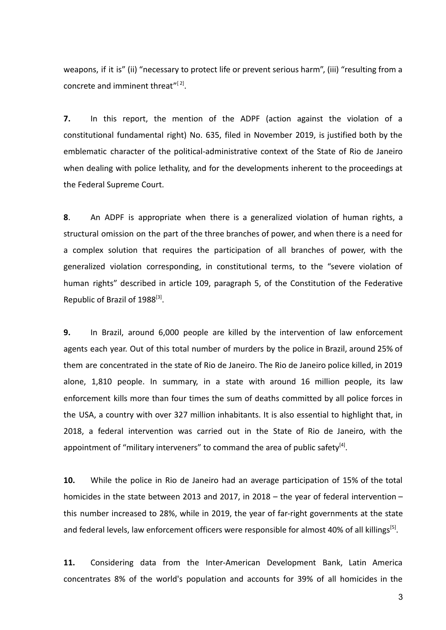weapons, if it is" (ii) "necessary to protect life or prevent serious harm", (iii) "resulting from a concrete and imminent threat"[2].

**7.** In this report, the mention of the ADPF (action against the violation of a constitutional fundamental right) No. 635, filed in November 2019, is justified both by the emblematic character of the political-administrative context of the State of Rio de Janeiro when dealing with police lethality, and for the developments inherent to the proceedings at the Federal Supreme Court.

**8**. An ADPF is appropriate when there is a generalized violation of human rights, a structural omission on the part of the three branches of power, and when there is a need for a complex solution that requires the participation of all branches of power, with the generalized violation corresponding, in constitutional terms, to the "severe violation of human rights" described in article 109, paragraph 5, of the Constitution of the Federative Republic of Brazil of 1988<sup>[3]</sup>.

**9.** In Brazil, around 6,000 people are killed by the intervention of law enforcement agents each year. Out of this total number of murders by the police in Brazil, around 25% of them are concentrated in the state of Rio de Janeiro. The Rio de Janeiro police killed, in 2019 alone, 1,810 people. In summary, in a state with around 16 million people, its law enforcement kills more than four times the sum of deaths committed by all police forces in the USA, a country with over 327 million inhabitants. It is also essential to highlight that, in 2018, a federal intervention was carried out in the State of Rio de Janeiro, with the appointment of "military interveners" to command the area of public safety $^{[4]}$ .

**10.** While the police in Rio de Janeiro had an average participation of 15% of the total homicides in the state between 2013 and 2017, in 2018 – the year of federal intervention – this number increased to 28%, while in 2019, the year of far-right governments at the state and federal levels, law enforcement officers were responsible for almost 40% of all killings<sup>[5]</sup>.

**11.** Considering data from the Inter-American Development Bank, Latin America concentrates 8% of the world's population and accounts for 39% of all homicides in the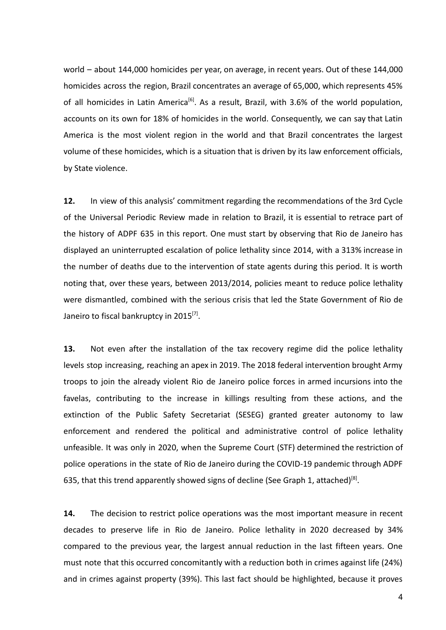world – about 144,000 homicides per year, on average, in recent years. Out of these 144,000 homicides across the region, Brazil concentrates an average of 65,000, which represents 45% of all homicides in Latin America<sup>[6]</sup>. As a result, Brazil, with 3.6% of the world population, accounts on its own for 18% of homicides in the world. Consequently, we can say that Latin America is the most violent region in the world and that Brazil concentrates the largest volume of these homicides, which is a situation that is driven by its law enforcement officials, by State violence.

**12.** In view of this analysis' commitment regarding the recommendations of the 3rd Cycle of the Universal Periodic Review made in relation to Brazil, it is essential to retrace part of the history of ADPF 635 in this report. One must start by observing that Rio de Janeiro has displayed an uninterrupted escalation of police lethality since 2014, with a 313% increase in the number of deaths due to the intervention of state agents during this period. It is worth noting that, over these years, between 2013/2014, policies meant to reduce police lethality were dismantled, combined with the serious crisis that led the State Government of Rio de Janeiro to fiscal bankruptcy in 2015 $^{[7]}$ .

**13.** Not even after the installation of the tax recovery regime did the police lethality levels stop increasing, reaching an apex in 2019. The 2018 federal intervention brought Army troops to join the already violent Rio de Janeiro police forces in armed incursions into the favelas, contributing to the increase in killings resulting from these actions, and the extinction of the Public Safety Secretariat (SESEG) granted greater autonomy to law enforcement and rendered the political and administrative control of police lethality unfeasible. It was only in 2020, when the Supreme Court (STF) determined the restriction of police operations in the state of Rio de Janeiro during the COVID-19 pandemic through ADPF 635, that this trend apparently showed signs of decline (See Graph 1, attached)<sup>[8]</sup>.

**14.** The decision to restrict police operations was the most important measure in recent decades to preserve life in Rio de Janeiro. Police lethality in 2020 decreased by 34% compared to the previous year, the largest annual reduction in the last fifteen years. One must note that this occurred concomitantly with a reduction both in crimes against life (24%) and in crimes against property (39%). This last fact should be highlighted, because it proves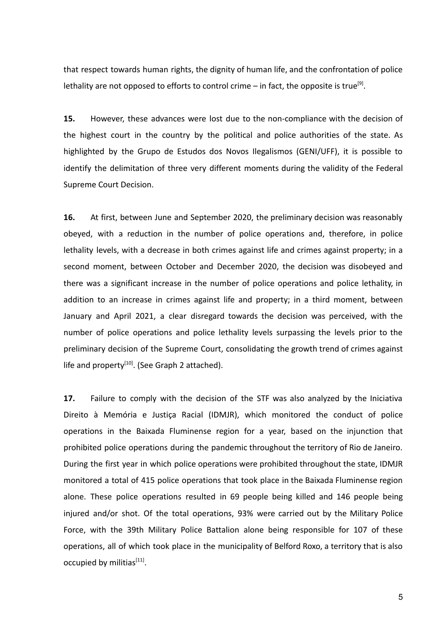that respect towards human rights, the dignity of human life, and the confrontation of police lethality are not opposed to efforts to control crime  $-$  in fact, the opposite is true<sup>[9]</sup>.

**15.** However, these advances were lost due to the non-compliance with the decision of the highest court in the country by the political and police authorities of the state. As highlighted by the Grupo de Estudos dos Novos Ilegalismos (GENI/UFF), it is possible to identify the delimitation of three very different moments during the validity of the Federal Supreme Court Decision.

**16.** At first, between June and September 2020, the preliminary decision was reasonably obeyed, with a reduction in the number of police operations and, therefore, in police lethality levels, with a decrease in both crimes against life and crimes against property; in a second moment, between October and December 2020, the decision was disobeyed and there was a significant increase in the number of police operations and police lethality, in addition to an increase in crimes against life and property; in a third moment, between January and April 2021, a clear disregard towards the decision was perceived, with the number of police operations and police lethality levels surpassing the levels prior to the preliminary decision of the Supreme Court, consolidating the growth trend of crimes against life and property<sup>[10]</sup>. (See Graph 2 attached).

**17.** Failure to comply with the decision of the STF was also analyzed by the Iniciativa Direito à Memória e Justiça Racial (IDMJR), which monitored the conduct of police operations in the Baixada Fluminense region for a year, based on the injunction that prohibited police operations during the pandemic throughout the territory of Rio de Janeiro. During the first year in which police operations were prohibited throughout the state, IDMJR monitored a total of 415 police operations that took place in the Baixada Fluminense region alone. These police operations resulted in 69 people being killed and 146 people being injured and/or shot. Of the total operations, 93% were carried out by the Military Police Force, with the 39th Military Police Battalion alone being responsible for 107 of these operations, all of which took place in the municipality of Belford Roxo, a territory that is also occupied by militias<sup>[11]</sup>.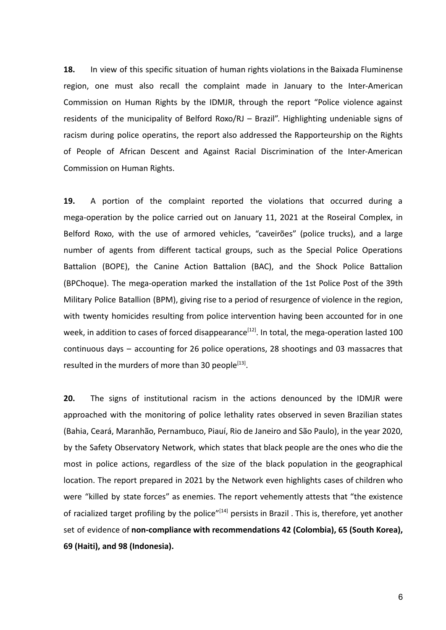**18.** In view of this specific situation of human rights violations in the Baixada Fluminense region, one must also recall the complaint made in January to the Inter-American Commission on Human Rights by the IDMJR, through the report "Police violence against residents of the municipality of Belford Roxo/RJ – Brazil". Highlighting undeniable signs of racism during police operatins, the report also addressed the Rapporteurship on the Rights of People of African Descent and Against Racial Discrimination of the Inter-American Commission on Human Rights.

**19.** A portion of the complaint reported the violations that occurred during a mega-operation by the police carried out on January 11, 2021 at the Roseiral Complex, in Belford Roxo, with the use of armored vehicles, "caveirões" (police trucks), and a large number of agents from different tactical groups, such as the Special Police Operations Battalion (BOPE), the Canine Action Battalion (BAC), and the Shock Police Battalion (BPChoque). The mega-operation marked the installation of the 1st Police Post of the 39th Military Police Batallion (BPM), giving rise to a period of resurgence of violence in the region, with twenty homicides resulting from police intervention having been accounted for in one week, in addition to cases of forced disappearance<sup>[12]</sup>. In total, the mega-operation lasted 100 continuous days – accounting for 26 police operations, 28 shootings and 03 massacres that resulted in the murders of more than 30 people<sup>[13]</sup>.

**20.** The signs of institutional racism in the actions denounced by the IDMJR were approached with the monitoring of police lethality rates observed in seven Brazilian states (Bahia, Ceará, Maranhão, Pernambuco, Piauí, Rio de Janeiro and São Paulo), in the year 2020, by the Safety Observatory Network, which states that black people are the ones who die the most in police actions, regardless of the size of the black population in the geographical location. The report prepared in 2021 by the Network even highlights cases of children who were "killed by state forces" as enemies. The report vehemently attests that "the existence of racialized target profiling by the police"<sup>[14]</sup> persists in Brazil . This is, therefore, yet another set of evidence of **non-compliance with recommendations 42 (Colombia), 65 (South Korea), 69 (Haiti), and 98 (Indonesia).**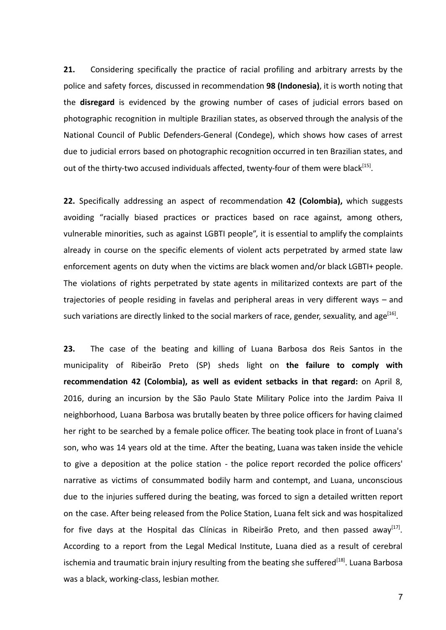**21.** Considering specifically the practice of racial profiling and arbitrary arrests by the police and safety forces, discussed in recommendation **98 (Indonesia)**, it is worth noting that the **disregard** is evidenced by the growing number of cases of judicial errors based on photographic recognition in multiple Brazilian states, as observed through the analysis of the National Council of Public Defenders-General (Condege), which shows how cases of arrest due to judicial errors based on photographic recognition occurred in ten Brazilian states, and out of the thirty-two accused individuals affected, twenty-four of them were black<sup>[15]</sup>.

**22.** Specifically addressing an aspect of recommendation **42 (Colombia),** which suggests avoiding "racially biased practices or practices based on race against, among others, vulnerable minorities, such as against LGBTI people", it is essential to amplify the complaints already in course on the specific elements of violent acts perpetrated by armed state law enforcement agents on duty when the victims are black women and/or black LGBTI+ people. The violations of rights perpetrated by state agents in militarized contexts are part of the trajectories of people residing in favelas and peripheral areas in very different ways – and such variations are directly linked to the social markers of race, gender, sexuality, and age<sup>[16]</sup>.

**23.** The case of the beating and killing of Luana Barbosa dos Reis Santos in the municipality of Ribeirão Preto (SP) sheds light on **the failure to comply with recommendation 42 (Colombia), as well as evident setbacks in that regard:** on April 8, 2016, during an incursion by the São Paulo State Military Police into the Jardim Paiva II neighborhood, Luana Barbosa was brutally beaten by three police officers for having claimed her right to be searched by a female police officer. The beating took place in front of Luana's son, who was 14 years old at the time. After the beating, Luana was taken inside the vehicle to give a deposition at the police station - the police report recorded the police officers' narrative as victims of consummated bodily harm and contempt, and Luana, unconscious due to the injuries suffered during the beating, was forced to sign a detailed written report on the case. After being released from the Police Station, Luana felt sick and was hospitalized for five days at the Hospital das Clínicas in Ribeirão Preto, and then passed away<sup>[17]</sup>. According to a report from the Legal Medical Institute, Luana died as a result of cerebral ischemia and traumatic brain injury resulting from the beating she suffered<sup>[18]</sup>. Luana Barbosa was a black, working-class, lesbian mother.

7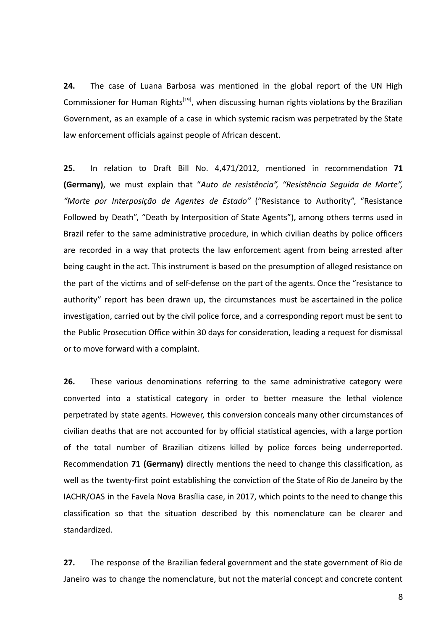**24.** The case of Luana Barbosa was mentioned in the global report of the UN High Commissioner for Human Rights<sup>[19]</sup>, when discussing human rights violations by the Brazilian Government, as an example of a case in which systemic racism was perpetrated by the State law enforcement officials against people of African descent.

**25.** In relation to Draft Bill No. 4,471/2012, mentioned in recommendation **71 (Germany)**, we must explain that "*Auto de resistência", "Resistência Seguida de Morte", "Morte por Interposição de Agentes de Estado"* ("Resistance to Authority", "Resistance Followed by Death", "Death by Interposition of State Agents"), among others terms used in Brazil refer to the same administrative procedure, in which civilian deaths by police officers are recorded in a way that protects the law enforcement agent from being arrested after being caught in the act. This instrument is based on the presumption of alleged resistance on the part of the victims and of self-defense on the part of the agents. Once the "resistance to authority" report has been drawn up, the circumstances must be ascertained in the police investigation, carried out by the civil police force, and a corresponding report must be sent to the Public Prosecution Office within 30 days for consideration, leading a request for dismissal or to move forward with a complaint.

**26.** These various denominations referring to the same administrative category were converted into a statistical category in order to better measure the lethal violence perpetrated by state agents. However, this conversion conceals many other circumstances of civilian deaths that are not accounted for by official statistical agencies, with a large portion of the total number of Brazilian citizens killed by police forces being underreported. Recommendation **71 (Germany)** directly mentions the need to change this classification, as well as the twenty-first point establishing the conviction of the State of Rio de Janeiro by the IACHR/OAS in the Favela Nova Brasília case, in 2017, which points to the need to change this classification so that the situation described by this nomenclature can be clearer and standardized.

**27.** The response of the Brazilian federal government and the state government of Rio de Janeiro was to change the nomenclature, but not the material concept and concrete content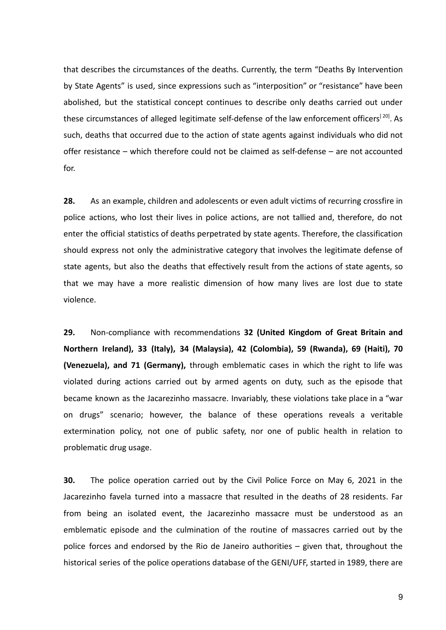that describes the circumstances of the deaths. Currently, the term "Deaths By Intervention by State Agents" is used, since expressions such as "interposition" or "resistance" have been abolished, but the statistical concept continues to describe only deaths carried out under these circumstances of alleged legitimate self-defense of the law enforcement officers<sup>[20]</sup>. As such, deaths that occurred due to the action of state agents against individuals who did not offer resistance – which therefore could not be claimed as self-defense – are not accounted for.

**28.** As an example, children and adolescents or even adult victims of recurring crossfire in police actions, who lost their lives in police actions, are not tallied and, therefore, do not enter the official statistics of deaths perpetrated by state agents. Therefore, the classification should express not only the administrative category that involves the legitimate defense of state agents, but also the deaths that effectively result from the actions of state agents, so that we may have a more realistic dimension of how many lives are lost due to state violence.

**29.** Non-compliance with recommendations **32 (United Kingdom of Great Britain and Northern Ireland), 33 (Italy), 34 (Malaysia), 42 (Colombia), 59 (Rwanda), 69 (Haiti), 70 (Venezuela), and 71 (Germany),** through emblematic cases in which the right to life was violated during actions carried out by armed agents on duty, such as the episode that became known as the Jacarezinho massacre. Invariably, these violations take place in a "war on drugs" scenario; however, the balance of these operations reveals a veritable extermination policy, not one of public safety, nor one of public health in relation to problematic drug usage.

**30.** The police operation carried out by the Civil Police Force on May 6, 2021 in the Jacarezinho favela turned into a massacre that resulted in the deaths of 28 residents. Far from being an isolated event, the Jacarezinho massacre must be understood as an emblematic episode and the culmination of the routine of massacres carried out by the police forces and endorsed by the Rio de Janeiro authorities – given that, throughout the historical series of the police operations database of the GENI/UFF, started in 1989, there are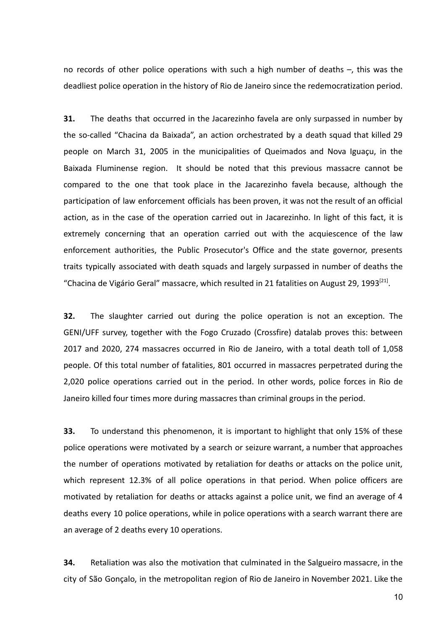no records of other police operations with such a high number of deaths –, this was the deadliest police operation in the history of Rio de Janeiro since the redemocratization period.

**31.** The deaths that occurred in the Jacarezinho favela are only surpassed in number by the so-called "Chacina da Baixada", an action orchestrated by a death squad that killed 29 people on March 31, 2005 in the municipalities of Queimados and Nova Iguaçu, in the Baixada Fluminense region. It should be noted that this previous massacre cannot be compared to the one that took place in the Jacarezinho favela because, although the participation of law enforcement officials has been proven, it was not the result of an official action, as in the case of the operation carried out in Jacarezinho. In light of this fact, it is extremely concerning that an operation carried out with the acquiescence of the law enforcement authorities, the Public Prosecutor's Office and the state governor, presents traits typically associated with death squads and largely surpassed in number of deaths the "Chacina de Vigário Geral" massacre, which resulted in 21 fatalities on August 29, 1993<sup>[21]</sup>.

**32.** The slaughter carried out during the police operation is not an exception. The GENI/UFF survey, together with the Fogo Cruzado (Crossfire) datalab proves this: between 2017 and 2020, 274 massacres occurred in Rio de Janeiro, with a total death toll of 1,058 people. Of this total number of fatalities, 801 occurred in massacres perpetrated during the 2,020 police operations carried out in the period. In other words, police forces in Rio de Janeiro killed four times more during massacres than criminal groups in the period.

**33.** To understand this phenomenon, it is important to highlight that only 15% of these police operations were motivated by a search or seizure warrant, a number that approaches the number of operations motivated by retaliation for deaths or attacks on the police unit, which represent 12.3% of all police operations in that period. When police officers are motivated by retaliation for deaths or attacks against a police unit, we find an average of 4 deaths every 10 police operations, while in police operations with a search warrant there are an average of 2 deaths every 10 operations.

**34.** Retaliation was also the motivation that culminated in the Salgueiro massacre, in the city of São Gonçalo, in the metropolitan region of Rio de Janeiro in November 2021. Like the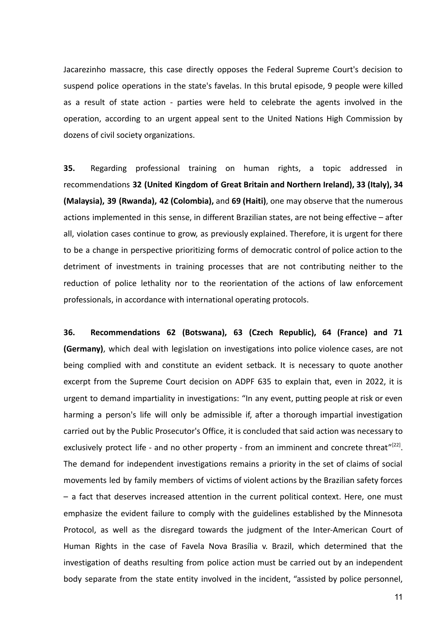Jacarezinho massacre, this case directly opposes the Federal Supreme Court's decision to suspend police operations in the state's favelas. In this brutal episode, 9 people were killed as a result of state action - parties were held to celebrate the agents involved in the operation, according to an urgent appeal sent to the United Nations High Commission by dozens of civil society organizations.

**35.** Regarding professional training on human rights, a topic addressed in recommendations **32 (United Kingdom of Great Britain and Northern Ireland), 33 (Italy), 34 (Malaysia), 39 (Rwanda), 42 (Colombia),** and **69 (Haiti)**, one may observe that the numerous actions implemented in this sense, in different Brazilian states, are not being effective – after all, violation cases continue to grow, as previously explained. Therefore, it is urgent for there to be a change in perspective prioritizing forms of democratic control of police action to the detriment of investments in training processes that are not contributing neither to the reduction of police lethality nor to the reorientation of the actions of law enforcement professionals, in accordance with international operating protocols.

**36. Recommendations 62 (Botswana), 63 (Czech Republic), 64 (France) and 71 (Germany)**, which deal with legislation on investigations into police violence cases, are not being complied with and constitute an evident setback. It is necessary to quote another excerpt from the Supreme Court decision on ADPF 635 to explain that, even in 2022, it is urgent to demand impartiality in investigations: "In any event, putting people at risk or even harming a person's life will only be admissible if, after a thorough impartial investigation carried out by the Public Prosecutor's Office, it is concluded that said action was necessary to exclusively protect life - and no other property - from an imminent and concrete threat"<sup>[22]</sup>. The demand for independent investigations remains a priority in the set of claims of social movements led by family members of victims of violent actions by the Brazilian safety forces – a fact that deserves increased attention in the current political context. Here, one must emphasize the evident failure to comply with the guidelines established by the Minnesota Protocol, as well as the disregard towards the judgment of the Inter-American Court of Human Rights in the case of Favela Nova Brasília v. Brazil, which determined that the investigation of deaths resulting from police action must be carried out by an independent body separate from the state entity involved in the incident, "assisted by police personnel,

11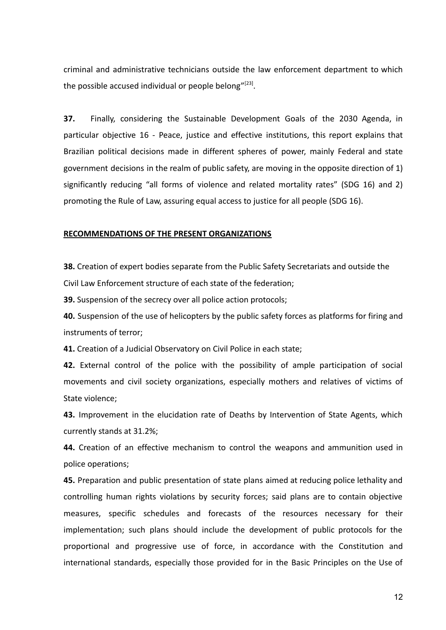criminal and administrative technicians outside the law enforcement department to which the possible accused individual or people belong"<sup>[23]</sup>.

**37.** Finally, considering the Sustainable Development Goals of the 2030 Agenda, in particular objective 16 - Peace, justice and effective institutions, this report explains that Brazilian political decisions made in different spheres of power, mainly Federal and state government decisions in the realm of public safety, are moving in the opposite direction of 1) significantly reducing "all forms of violence and related mortality rates" (SDG 16) and 2) promoting the Rule of Law, assuring equal access to justice for all people (SDG 16).

## **RECOMMENDATIONS OF THE PRESENT ORGANIZATIONS**

**38.** Creation of expert bodies separate from the Public Safety Secretariats and outside the Civil Law Enforcement structure of each state of the federation;

**39.** Suspension of the secrecy over all police action protocols;

**40.** Suspension of the use of helicopters by the public safety forces as platforms for firing and instruments of terror;

**41.** Creation of a Judicial Observatory on Civil Police in each state;

**42.** External control of the police with the possibility of ample participation of social movements and civil society organizations, especially mothers and relatives of victims of State violence;

**43.** Improvement in the elucidation rate of Deaths by Intervention of State Agents, which currently stands at 31.2%;

**44.** Creation of an effective mechanism to control the weapons and ammunition used in police operations;

**45.** Preparation and public presentation of state plans aimed at reducing police lethality and controlling human rights violations by security forces; said plans are to contain objective measures, specific schedules and forecasts of the resources necessary for their implementation; such plans should include the development of public protocols for the proportional and progressive use of force, in accordance with the Constitution and international standards, especially those provided for in the Basic Principles on the Use of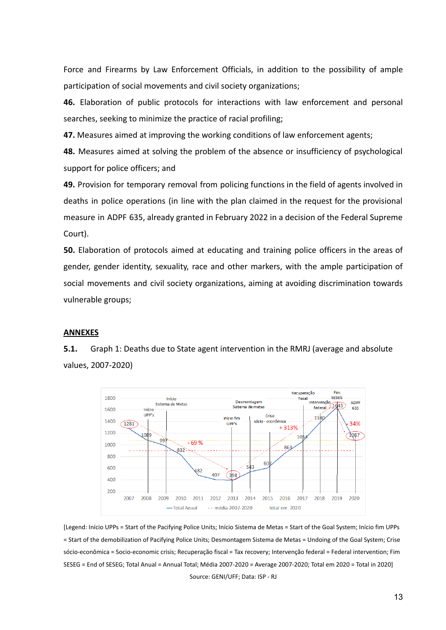Force and Firearms by Law Enforcement Officials, in addition to the possibility of ample participation of social movements and civil society organizations;

**46.** Elaboration of public protocols for interactions with law enforcement and personal searches, seeking to minimize the practice of racial profiling;

**47.** Measures aimed at improving the working conditions of law enforcement agents;

**48.** Measures aimed at solving the problem of the absence or insufficiency of psychological support for police officers; and

**49.** Provision for temporary removal from policing functions in the field of agents involved in deaths in police operations (in line with the plan claimed in the request for the provisional measure in ADPF 635, already granted in February 2022 in a decision of the Federal Supreme Court).

**50.** Elaboration of protocols aimed at educating and training police officers in the areas of gender, gender identity, sexuality, race and other markers, with the ample participation of social movements and civil society organizations, aiming at avoiding discrimination towards vulnerable groups;

## **ANNEXES**

**5.1.** Graph 1: Deaths due to State agent intervention in the RMRJ (average and absolute values, 2007-2020)



[Legend: Início UPPs = Start of the Pacifying Police Units; Início Sistema de Metas = Start of the Goal System; Início fim UPPs = Start of the demobilization of Pacifying Police Units; Desmontagem Sistema de Metas = Undoing of the Goal System; Crise sócio-econômica = Socio-economic crisis; Recuperação fiscal = Tax recovery; Intervenção federal = Federal intervention; Fim SESEG = End of SESEG; Total Anual = Annual Total; Média 2007-2020 = Average 2007-2020; Total em 2020 = Total in 2020] Source: GENI/UFF; Data: ISP - RJ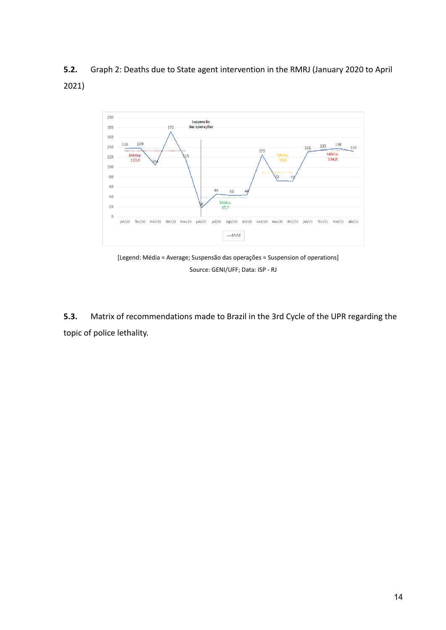**5.2.** Graph 2: Deaths due to State agent intervention in the RMRJ (January 2020 to April 2021)





**5.3.** Matrix of recommendations made to Brazil in the 3rd Cycle of the UPR regarding the topic of police lethality.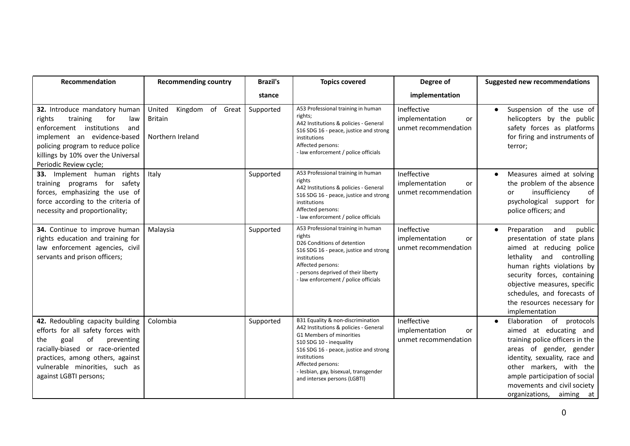| Recommendation                                                                                                                                                                                                                                | <b>Recommending country</b>                                      | <b>Brazil's</b> | <b>Topics covered</b>                                                                                                                                                                                                                                                                     | Degree of                                                   | <b>Suggested new recommendations</b>                                                                                                                                                                                                                                                              |
|-----------------------------------------------------------------------------------------------------------------------------------------------------------------------------------------------------------------------------------------------|------------------------------------------------------------------|-----------------|-------------------------------------------------------------------------------------------------------------------------------------------------------------------------------------------------------------------------------------------------------------------------------------------|-------------------------------------------------------------|---------------------------------------------------------------------------------------------------------------------------------------------------------------------------------------------------------------------------------------------------------------------------------------------------|
|                                                                                                                                                                                                                                               |                                                                  | stance          |                                                                                                                                                                                                                                                                                           | implementation                                              |                                                                                                                                                                                                                                                                                                   |
| 32. Introduce mandatory human<br>training<br>for<br>rights<br>law<br>enforcement institutions<br>and<br>implement an evidence-based<br>policing program to reduce police<br>killings by 10% over the Universal<br>Periodic Review cycle;      | Kingdom of Great<br>United<br><b>Britain</b><br>Northern Ireland | Supported       | A53 Professional training in human<br>rights;<br>A42 Institutions & policies - General<br>S16 SDG 16 - peace, justice and strong<br>institutions<br>Affected persons:<br>- law enforcement / police officials                                                                             | Ineffective<br>implementation<br>or<br>unmet recommendation | Suspension of the use of<br>helicopters by the public<br>safety forces as platforms<br>for firing and instruments of<br>terror;                                                                                                                                                                   |
| 33. Implement human rights<br>training programs for safety<br>forces, emphasizing the use of<br>force according to the criteria of<br>necessity and proportionality;                                                                          | Italy                                                            | Supported       | A53 Professional training in human<br>rights<br>A42 Institutions & policies - General<br>S16 SDG 16 - peace, justice and strong<br>institutions<br>Affected persons:<br>- law enforcement / police officials                                                                              | Ineffective<br>implementation<br>or<br>unmet recommendation | Measures aimed at solving<br>the problem of the absence<br>insufficiency<br>of<br>or<br>psychological support for<br>police officers; and                                                                                                                                                         |
| 34. Continue to improve human<br>rights education and training for<br>law enforcement agencies, civil<br>servants and prison officers;                                                                                                        | Malaysia                                                         | Supported       | A53 Professional training in human<br>rights<br>D26 Conditions of detention<br>S16 SDG 16 - peace, justice and strong<br>institutions<br>Affected persons:<br>- persons deprived of their liberty<br>- law enforcement / police officials                                                 | Ineffective<br>implementation<br>or<br>unmet recommendation | Preparation<br>and<br>public<br>presentation of state plans<br>aimed at reducing police<br>lethality and controlling<br>human rights violations by<br>security forces, containing<br>objective measures, specific<br>schedules, and forecasts of<br>the resources necessary for<br>implementation |
| 42. Redoubling capacity building<br>efforts for all safety forces with<br>of<br>goal<br>preventing<br>the<br>racially-biased or race-oriented<br>practices, among others, against<br>vulnerable minorities, such as<br>against LGBTI persons; | Colombia                                                         | Supported       | B31 Equality & non-discrimination<br>A42 Institutions & policies - General<br>G1 Members of minorities<br>S10 SDG 10 - inequality<br>S16 SDG 16 - peace, justice and strong<br>institutions<br>Affected persons:<br>- lesbian, gay, bisexual, transgender<br>and intersex persons (LGBTI) | Ineffective<br>implementation<br>or<br>unmet recommendation | Elaboration of protocols<br>aimed at educating and<br>training police officers in the<br>areas of gender, gender<br>identity, sexuality, race and<br>other markers, with the<br>ample participation of social<br>movements and civil society<br>organizations, aiming at                          |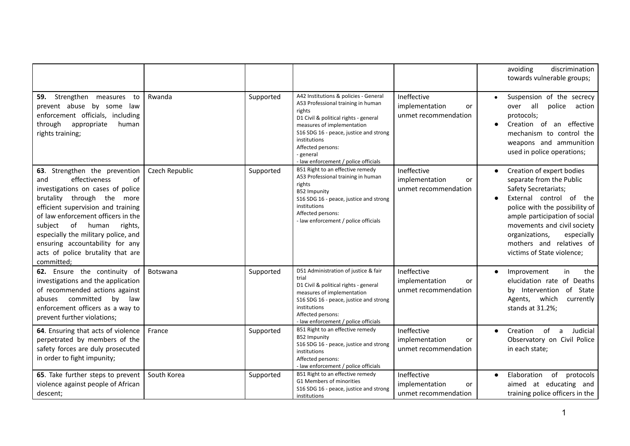|                                                                                                                                                                                                                                                                                                                                                                              |                |           |                                                                                                                                                                                                                                                                                                  |                                                             | avoiding<br>discrimination<br>towards vulnerable groups;                                                                                                                                                                                                                                             |
|------------------------------------------------------------------------------------------------------------------------------------------------------------------------------------------------------------------------------------------------------------------------------------------------------------------------------------------------------------------------------|----------------|-----------|--------------------------------------------------------------------------------------------------------------------------------------------------------------------------------------------------------------------------------------------------------------------------------------------------|-------------------------------------------------------------|------------------------------------------------------------------------------------------------------------------------------------------------------------------------------------------------------------------------------------------------------------------------------------------------------|
| 59. Strengthen measures to<br>prevent abuse by some<br>law<br>enforcement officials, including<br>through<br>appropriate<br>human<br>rights training;                                                                                                                                                                                                                        | Rwanda         | Supported | A42 Institutions & policies - General<br>A53 Professional training in human<br>rights<br>D1 Civil & political rights - general<br>measures of implementation<br>S16 SDG 16 - peace, justice and strong<br>institutions<br>Affected persons:<br>- general<br>- law enforcement / police officials | Ineffective<br>implementation<br>or<br>unmet recommendation | Suspension of the secrecy<br>all<br>police action<br>over<br>protocols;<br>Creation of an effective<br>mechanism to control the<br>weapons and ammunition<br>used in police operations;                                                                                                              |
| 63. Strengthen the prevention<br>effectiveness<br>οf<br>and<br>investigations on cases of police<br>brutality through the more<br>efficient supervision and training<br>of law enforcement officers in the<br>of<br>human<br>subject<br>rights,<br>especially the military police, and<br>ensuring accountability for any<br>acts of police brutality that are<br>committed; | Czech Republic | Supported | B51 Right to an effective remedy<br>A53 Professional training in human<br>rights<br>B52 Impunity<br>S16 SDG 16 - peace, justice and strong<br>institutions<br>Affected persons:<br>- law enforcement / police officials                                                                          | Ineffective<br>implementation<br>or<br>unmet recommendation | Creation of expert bodies<br>separate from the Public<br>Safety Secretariats;<br>External control of the<br>police with the possibility of<br>ample participation of social<br>movements and civil society<br>especially<br>organizations,<br>mothers and relatives of<br>victims of State violence; |
| 62. Ensure the continuity of<br>investigations and the application<br>of recommended actions against<br>committed<br>by<br>abuses<br>law<br>enforcement officers as a way to<br>prevent further violations;                                                                                                                                                                  | Botswana       | Supported | D51 Administration of justice & fair<br>trial<br>D1 Civil & political rights - general<br>measures of implementation<br>S16 SDG 16 - peace, justice and strong<br>institutions<br>Affected persons:<br>- law enforcement / police officials                                                      | Ineffective<br>implementation<br>or<br>unmet recommendation | in<br>the<br>Improvement<br>elucidation rate of Deaths<br>by Intervention<br>of State<br>Agents, which<br>currently<br>stands at 31.2%;                                                                                                                                                              |
| 64. Ensuring that acts of violence<br>perpetrated by members of the<br>safety forces are duly prosecuted<br>in order to fight impunity;                                                                                                                                                                                                                                      | France         | Supported | B51 Right to an effective remedy<br>B52 Impunity<br>S16 SDG 16 - peace, justice and strong<br>institutions<br>Affected persons:<br>- law enforcement / police officials                                                                                                                          | Ineffective<br>implementation<br>or<br>unmet recommendation | Creation<br>of a<br>Judicial<br>$\bullet$<br>Observatory on Civil Police<br>in each state;                                                                                                                                                                                                           |
| 65. Take further steps to prevent<br>violence against people of African<br>descent;                                                                                                                                                                                                                                                                                          | South Korea    | Supported | B51 Right to an effective remedy<br>G1 Members of minorities<br>S16 SDG 16 - peace, justice and strong<br>institutions                                                                                                                                                                           | Ineffective<br>implementation<br>or<br>unmet recommendation | Elaboration<br>of<br>protocols<br>aimed<br>at educating and<br>training police officers in the                                                                                                                                                                                                       |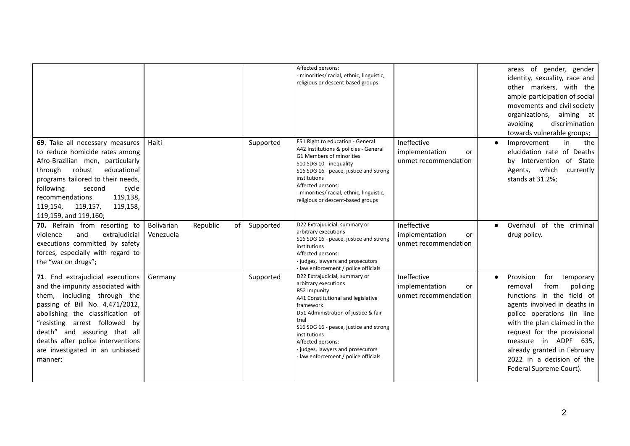|                                                                                                                                                                                                                                                                                                                                   |                                           |           | Affected persons:<br>- minorities/ racial, ethnic, linguistic,<br>religious or descent-based groups                                                                                                                                                                                                                                          |                                                             | areas of gender, gender<br>identity, sexuality, race and<br>other markers, with the<br>ample participation of social<br>movements and civil society<br>organizations, aiming at<br>discrimination<br>avoiding<br>towards vulnerable groups;                                                                                                        |
|-----------------------------------------------------------------------------------------------------------------------------------------------------------------------------------------------------------------------------------------------------------------------------------------------------------------------------------|-------------------------------------------|-----------|----------------------------------------------------------------------------------------------------------------------------------------------------------------------------------------------------------------------------------------------------------------------------------------------------------------------------------------------|-------------------------------------------------------------|----------------------------------------------------------------------------------------------------------------------------------------------------------------------------------------------------------------------------------------------------------------------------------------------------------------------------------------------------|
| 69. Take all necessary measures<br>to reduce homicide rates among<br>Afro-Brazilian men, particularly<br>educational<br>through<br>robust<br>programs tailored to their needs,<br>following<br>second<br>cycle<br>119,138,<br>recommendations<br>119,154, 119,157,<br>119,158,<br>119,159, and 119,160;                           | Haiti                                     | Supported | E51 Right to education - General<br>A42 Institutions & policies - General<br>G1 Members of minorities<br>S10 SDG 10 - inequality<br>S16 SDG 16 - peace, justice and strong<br>institutions<br>Affected persons:<br>- minorities/ racial, ethnic, linguistic,<br>religious or descent-based groups                                            | Ineffective<br>implementation<br>or<br>unmet recommendation | Improvement<br>in<br>the<br>elucidation rate of Deaths<br>by Intervention of State<br>Agents, which<br>currently<br>stands at 31.2%;                                                                                                                                                                                                               |
| 70. Refrain from resorting to<br>and<br>extrajudicial<br>violence<br>executions committed by safety<br>forces, especially with regard to<br>the "war on drugs";                                                                                                                                                                   | Republic<br>Bolivarian<br>of<br>Venezuela | Supported | D22 Extrajudicial, summary or<br>arbitrary executions<br>S16 SDG 16 - peace, justice and strong<br>institutions<br>Affected persons:<br>- judges, lawyers and prosecutors<br>- law enforcement / police officials                                                                                                                            | Ineffective<br>implementation<br>or<br>unmet recommendation | Overhaul of the criminal<br>$\bullet$<br>drug policy.                                                                                                                                                                                                                                                                                              |
| 71. End extrajudicial executions<br>and the impunity associated with<br>them, including through the<br>passing of Bill No. 4,471/2012,<br>abolishing the classification of<br>"resisting arrest followed<br>bv<br>death" and assuring that all<br>deaths after police interventions<br>are investigated in an unbiased<br>manner; | Germany                                   | Supported | D22 Extrajudicial, summary or<br>arbitrary executions<br><b>B52 Impunity</b><br>A41 Constitutional and legislative<br>framework<br>D51 Administration of justice & fair<br>trial<br>S16 SDG 16 - peace, justice and strong<br>institutions<br>Affected persons:<br>- judges, lawyers and prosecutors<br>- law enforcement / police officials | Ineffective<br>implementation<br>or<br>unmet recommendation | Provision<br>for<br>temporary<br>$\bullet$<br>policing<br>removal<br>from<br>functions in the field of<br>agents involved in deaths in<br>police operations (in line<br>with the plan claimed in the<br>request for the provisional<br>measure in ADPF 635,<br>already granted in February<br>2022 in a decision of the<br>Federal Supreme Court). |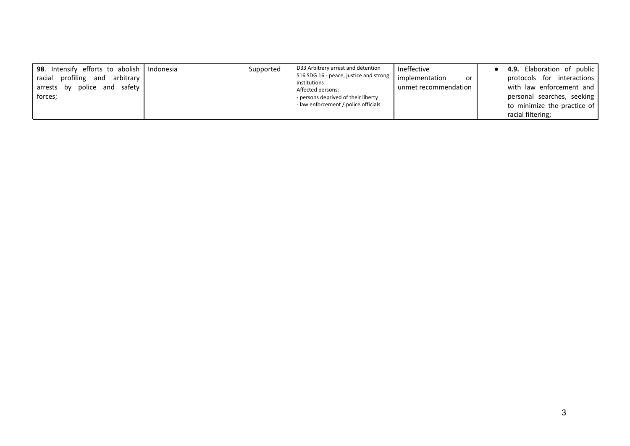| 98. Intensify efforts to abolish   Indonesia<br>profiling and<br>arbitrary  <br>racial<br>arrests by police and safety<br>forces; |  | Supported | D33 Arbitrary arrest and detention<br>  S16 SDG 16 - peace, justice and strong   implementation<br>institutions<br>Affected persons:<br>- persons deprived of their liberty<br>- law enforcement / police officials | Ineffective<br>or<br>unmet recommendation | 4.9. Elaboration of public<br>protocols for interactions<br>with law enforcement and<br>personal searches, seeking<br>to minimize the practice of<br>racial filtering; |
|-----------------------------------------------------------------------------------------------------------------------------------|--|-----------|---------------------------------------------------------------------------------------------------------------------------------------------------------------------------------------------------------------------|-------------------------------------------|------------------------------------------------------------------------------------------------------------------------------------------------------------------------|
|-----------------------------------------------------------------------------------------------------------------------------------|--|-----------|---------------------------------------------------------------------------------------------------------------------------------------------------------------------------------------------------------------------|-------------------------------------------|------------------------------------------------------------------------------------------------------------------------------------------------------------------------|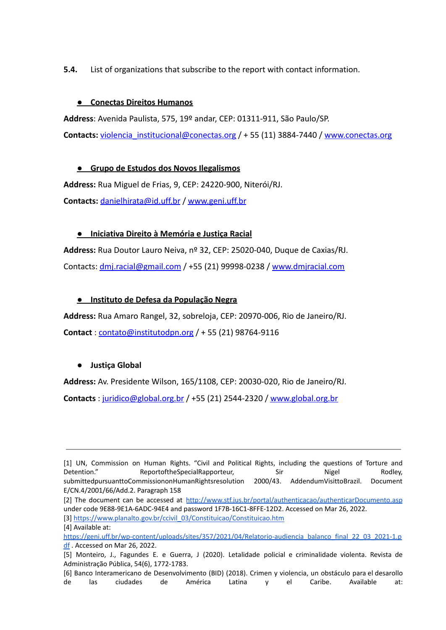**5.4.** List of organizations that subscribe to the report with contact information.

# **● Conectas Direitos Humanos**

**Address**: Avenida Paulista, 575, 19º andar, CEP: 01311-911, São Paulo/SP. **Contacts:** [violencia\\_institucional@conectas.org](mailto:violencia_institucional@conectas.org) / + 55 (11) 3884-7440 / [www.conectas.org](http://www.conectas.org)

# **● Grupo de Estudos dos Novos Ilegalismos**

**Address:** Rua Miguel de Frias, 9, CEP: 24220-900, Niterói/RJ. **Contacts:** [danielhirata@id.uff.br](mailto:danielhirata@id.uff.br) / [www.geni.uff.br](http://www.geni.uff.br)

# **● Iniciativa Direito à Memória e Justiça Racial**

**Address:** Rua Doutor Lauro Neiva, nº 32, CEP: 25020-040, Duque de Caxias/RJ. Contacts: [dmj.racial@gmail.com](mailto:dmj.racial@gmail.com) / +55 (21) 99998-0238 / [www.dmjracial.com](http://www.dmjracial.com)

# **● Instituto de Defesa da População Negra**

**Address:** Rua Amaro Rangel, 32, sobreloja, CEP: 20970-006, Rio de Janeiro/RJ. **Contact** : [contato@institutodpn.org](mailto:contato@institutodpn.org) / + 55 (21) 98764-9116

# **● Justiça Global**

**Address:** Av. Presidente Wilson, 165/1108, CEP: 20030-020, Rio de Janeiro/RJ.

**Contacts** : [juridico@global.org.br](mailto:juridico@global.org.br) / +55 (21) 2544-2320 / [www.global.org.br](http://www.global.org.br)

<sup>[1]</sup> UN, Commission on Human Rights. "Civil and Political Rights, including the questions of Torture and Detention." ReportoftheSpecialRapporteur, Sir Nigel Rodley, submittedpursuanttoCommissiononHumanRightsresolution 2000/43. AddendumVisittoBrazil. Document E/CN.4/2001/66/Add.2. Paragraph 158

<sup>[2]</sup> The document can be accessed at [http://www.stf.jus.br/portal/authenticacao/authenticarDocumento.asp](http://www.stf.jus.br/portal/autenticacao/autenticarDocumento.asp) under code 9E88-9E1A-6ADC-94E4 and password 1F7B-16C1-8FFE-12D2. Accessed on Mar 26, 2022. [3] [https://www.planalto.gov.br/ccivil\\_03/Constituicao/Constituicao.htm](https://www.planalto.gov.br/ccivil_03/Constituicao/Constituicao.htm)

<sup>[4]</sup> Available at:

[https://geni.uff.br/wp-content/uploads/sites/357/2021/04/Relatorio-audiencia\\_balanco\\_final\\_22\\_03\\_2021-1.p](https://geni.uff.br/wp-content/uploads/sites/357/2021/04/Relatorio-audiencia_balanco_final_22_03_2021-1.pdf) [df](https://geni.uff.br/wp-content/uploads/sites/357/2021/04/Relatorio-audiencia_balanco_final_22_03_2021-1.pdf) . Accessed on Mar 26, 2022.

<sup>[5]</sup> Monteiro, J., Fagundes E. e Guerra, J (2020). Letalidade policial e criminalidade violenta. Revista de Administração Pública, 54(6), 1772-1783.

<sup>[6]</sup> Banco Interamericano de Desenvolvimento (BID) (2018). Crimen y violencia, un obstáculo para el desarollo de las ciudades de América Latina y el Caribe. Available at: